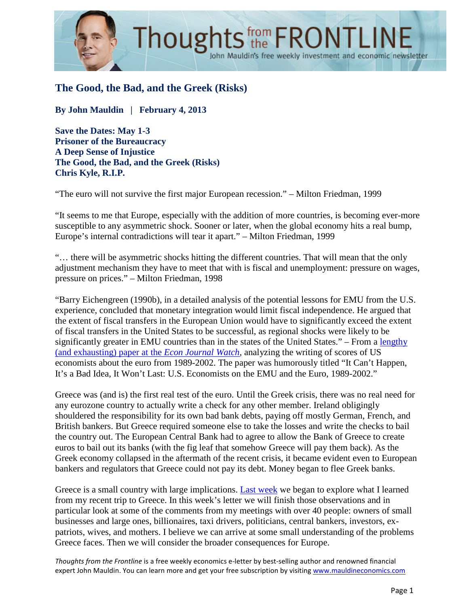

### **The Good, the Bad, and the Greek (Risks)**

**By John Mauldin | February 4, 2013** 

**Save the Dates: May 1-3 Prisoner of the Bureaucracy A Deep Sense of Injustice The Good, the Bad, and the Greek (Risks) Chris Kyle, R.I.P.** 

"The euro will not survive the first major European recession." – Milton Friedman, 1999

"It seems to me that Europe, especially with the addition of more countries, is becoming ever-more susceptible to any asymmetric shock. Sooner or later, when the global economy hits a real bump, Europe's internal contradictions will tear it apart." – Milton Friedman, 1999

"… there will be asymmetric shocks hitting the different countries. That will mean that the only adjustment mechanism they have to meet that with is fiscal and unemployment: pressure on wages, pressure on prices." – Milton Friedman, 1998

"Barry Eichengreen (1990b), in a detailed analysis of the potential lessons for EMU from the U.S. experience, concluded that monetary integration would limit fiscal independence. He argued that the extent of fiscal transfers in the European Union would have to significantly exceed the extent of fiscal transfers in the United States to be successful, as regional shocks were likely to be significantly greater in EMU countries than in the states of the United States." – From a [lengthy](http://econjwatch.org/file_download/403/JonungDreaJanuary2010.pdf)  [\(and exhausting\) paper at the](http://econjwatch.org/file_download/403/JonungDreaJanuary2010.pdf) *Econ Journal Watch,* analyzing the writing of scores of US economists about the euro from 1989-2002. The paper was humorously titled "It Can't Happen, It's a Bad Idea, It Won't Last: U.S. Economists on the EMU and the Euro, 1989-2002."

Greece was (and is) the first real test of the euro. Until the Greek crisis, there was no real need for any eurozone country to actually write a check for any other member. Ireland obligingly shouldered the responsibility for its own bad bank debts, paying off mostly German, French, and British bankers. But Greece required someone else to take the losses and write the checks to bail the country out. The European Central Bank had to agree to allow the Bank of Greece to create euros to bail out its banks (with the fig leaf that somehow Greece will pay them back). As the Greek economy collapsed in the aftermath of the recent crisis, it became evident even to European bankers and regulators that Greece could not pay its debt. Money began to flee Greek banks.

Greece is a small country with large implications. [Last week](http://www.mauldineconomics.com/frontlinethoughts/prisoner-of-the-bureaucracy) we began to explore what I learned from my recent trip to Greece. In this week's letter we will finish those observations and in particular look at some of the comments from my meetings with over 40 people: owners of small businesses and large ones, billionaires, taxi drivers, politicians, central bankers, investors, expatriots, wives, and mothers. I believe we can arrive at some small understanding of the problems Greece faces. Then we will consider the broader consequences for Europe.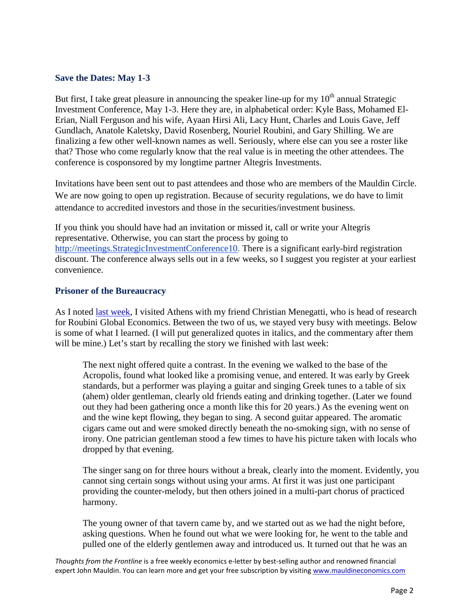#### **Save the Dates: May 1-3**

But first, I take great pleasure in announcing the speaker line-up for my  $10<sup>th</sup>$  annual Strategic Investment Conference, May 1-3. Here they are, in alphabetical order: Kyle Bass, Mohamed El-Erian, Niall Ferguson and his wife, Ayaan Hirsi Ali, Lacy Hunt, Charles and Louis Gave, Jeff Gundlach, Anatole Kaletsky, David Rosenberg, Nouriel Roubini, and Gary Shilling. We are finalizing a few other well-known names as well. Seriously, where else can you see a roster like that? Those who come regularly know that the real value is in meeting the other attendees. The conference is cosponsored by my longtime partner Altegris Investments.

Invitations have been sent out to past attendees and those who are members of the Mauldin Circle. We are now going to open up registration. Because of security regulations, we do have to limit attendance to accredited investors and those in the securities/investment business.

If you think you should have had an invitation or missed it, call or write your Altegris representative. Otherwise, you can start the process by going to [http://meetings.StrategicInvestmentConference10.](http://meetings.baskow.com/profile/form/index.cfm?PKformID=0x269916ad) There is a significant early-bird registration discount. The conference always sells out in a few weeks, so I suggest you register at your earliest convenience.

#### **Prisoner of the Bureaucracy**

As I noted [last week,](http://www.mauldineconomics.com/frontlinethoughts/prisoner-of-the-bureaucracy) I visited Athens with my friend Christian Menegatti, who is head of research for Roubini Global Economics. Between the two of us, we stayed very busy with meetings. Below is some of what I learned. (I will put generalized quotes in italics, and the commentary after them will be mine.) Let's start by recalling the story we finished with last week:

The next night offered quite a contrast. In the evening we walked to the base of the Acropolis, found what looked like a promising venue, and entered. It was early by Greek standards, but a performer was playing a guitar and singing Greek tunes to a table of six (ahem) older gentleman, clearly old friends eating and drinking together. (Later we found out they had been gathering once a month like this for 20 years.) As the evening went on and the wine kept flowing, they began to sing. A second guitar appeared. The aromatic cigars came out and were smoked directly beneath the no-smoking sign, with no sense of irony. One patrician gentleman stood a few times to have his picture taken with locals who dropped by that evening.

The singer sang on for three hours without a break, clearly into the moment. Evidently, you cannot sing certain songs without using your arms. At first it was just one participant providing the counter-melody, but then others joined in a multi-part chorus of practiced harmony.

The young owner of that tavern came by, and we started out as we had the night before, asking questions. When he found out what we were looking for, he went to the table and pulled one of the elderly gentlemen away and introduced us. It turned out that he was an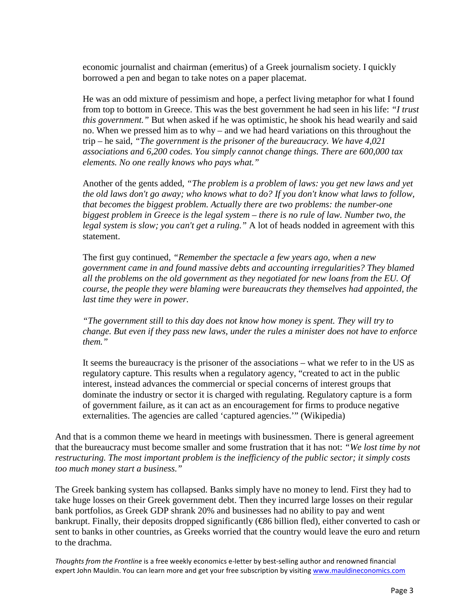economic journalist and chairman (emeritus) of a Greek journalism society. I quickly borrowed a pen and began to take notes on a paper placemat.

He was an odd mixture of pessimism and hope, a perfect living metaphor for what I found from top to bottom in Greece. This was the best government he had seen in his life: *"I trust this government."* But when asked if he was optimistic, he shook his head wearily and said no. When we pressed him as to why – and we had heard variations on this throughout the trip – he said, *"The government is the prisoner of the bureaucracy. We have 4,021 associations and 6,200 codes. You simply cannot change things. There are 600,000 tax elements. No one really knows who pays what."*

Another of the gents added, *"The problem is a problem of laws: you get new laws and yet the old laws don't go away; who knows what to do? If you don't know what laws to follow, that becomes the biggest problem. Actually there are two problems: the number-one biggest problem in Greece is the legal system – there is no rule of law. Number two, the legal system is slow; you can't get a ruling."* A lot of heads nodded in agreement with this statement.

The first guy continued, *"Remember the spectacle a few years ago, when a new government came in and found massive debts and accounting irregularities? They blamed all the problems on the old government as they negotiated for new loans from the EU. Of course, the people they were blaming were bureaucrats they themselves had appointed, the last time they were in power.*

*"The government still to this day does not know how money is spent. They will try to change. But even if they pass new laws, under the rules a minister does not have to enforce them."*

It seems the bureaucracy is the prisoner of the associations – what we refer to in the US as regulatory capture. This results when a regulatory agency, "created to act in the public interest, instead advances the commercial or special concerns of interest groups that dominate the industry or sector it is charged with regulating. Regulatory capture is a form of government failure, as it can act as an encouragement for firms to produce negative externalities. The agencies are called 'captured agencies.'" (Wikipedia)

And that is a common theme we heard in meetings with businessmen. There is general agreement that the bureaucracy must become smaller and some frustration that it has not: *"We lost time by not restructuring. The most important problem is the inefficiency of the public sector; it simply costs too much money start a business."*

The Greek banking system has collapsed. Banks simply have no money to lend. First they had to take huge losses on their Greek government debt. Then they incurred large losses on their regular bank portfolios, as Greek GDP shrank 20% and businesses had no ability to pay and went bankrupt. Finally, their deposits dropped significantly (€86 billion fled), either converted to cash or sent to banks in other countries, as Greeks worried that the country would leave the euro and return to the drachma.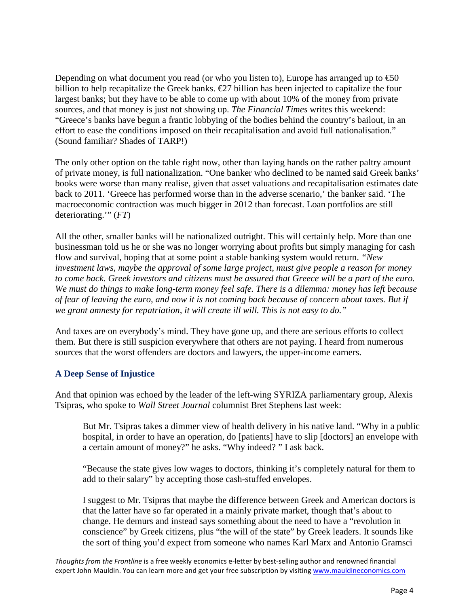Depending on what document you read (or who you listen to), Europe has arranged up to  $\epsilon \lesssim 0$ billion to help recapitalize the Greek banks.  $\epsilon$ 27 billion has been injected to capitalize the four largest banks; but they have to be able to come up with about 10% of the money from private sources, and that money is just not showing up. *The Financial Times* writes this weekend: "Greece's banks have begun a frantic lobbying of the bodies behind the country's bailout, in an effort to ease the conditions imposed on their recapitalisation and avoid full nationalisation." (Sound familiar? Shades of TARP!)

The only other option on the table right now, other than laying hands on the rather paltry amount of private money, is full nationalization. "One banker who declined to be named said Greek banks' books were worse than many realise, given that asset valuations and recapitalisation estimates date back to 2011. 'Greece has performed worse than in the adverse scenario,' the banker said. 'The macroeconomic contraction was much bigger in 2012 than forecast. Loan portfolios are still deteriorating.'" (*FT*)

All the other, smaller banks will be nationalized outright. This will certainly help. More than one businessman told us he or she was no longer worrying about profits but simply managing for cash flow and survival, hoping that at some point a stable banking system would return. *"New investment laws, maybe the approval of some large project, must give people a reason for money to come back. Greek investors and citizens must be assured that Greece will be a part of the euro. We must do things to make long-term money feel safe. There is a dilemma: money has left because of fear of leaving the euro, and now it is not coming back because of concern about taxes. But if we grant amnesty for repatriation, it will create ill will. This is not easy to do."*

And taxes are on everybody's mind. They have gone up, and there are serious efforts to collect them. But there is still suspicion everywhere that others are not paying. I heard from numerous sources that the worst offenders are doctors and lawyers, the upper-income earners.

### **A Deep Sense of Injustice**

And that opinion was echoed by the leader of the left-wing SYRIZA parliamentary group, Alexis Tsipras, who spoke to *Wall Street Journal* columnist Bret Stephens last week:

But Mr. Tsipras takes a dimmer view of health delivery in his native land. "Why in a public hospital, in order to have an operation, do [patients] have to slip [doctors] an envelope with a certain amount of money?" he asks. "Why indeed? " I ask back.

"Because the state gives low wages to doctors, thinking it's completely natural for them to add to their salary" by accepting those cash-stuffed envelopes.

I suggest to Mr. Tsipras that maybe the difference between Greek and American doctors is that the latter have so far operated in a mainly private market, though that's about to change. He demurs and instead says something about the need to have a "revolution in conscience" by Greek citizens, plus "the will of the state" by Greek leaders. It sounds like the sort of thing you'd expect from someone who names Karl Marx and Antonio Gramsci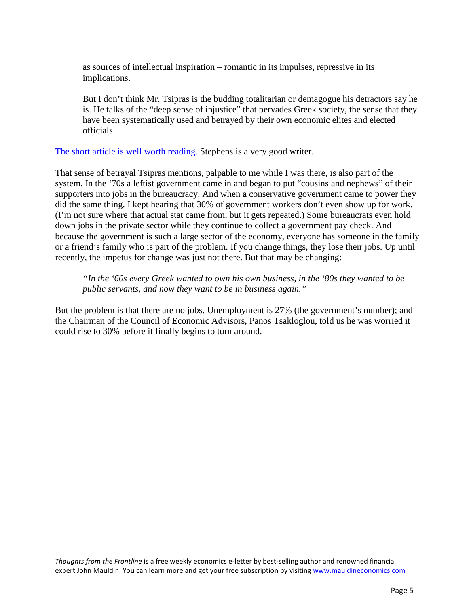as sources of intellectual inspiration – romantic in its impulses, repressive in its implications.

But I don't think Mr. Tsipras is the budding totalitarian or demagogue his detractors say he is. He talks of the "deep sense of injustice" that pervades Greek society, the sense that they have been systematically used and betrayed by their own economic elites and elected officials.

[The short article is well worth reading.](http://www.politicalnewsnow.com/2013/01/29/bret-stephens-the-conscience-of-a-radical-wsj/) Stephens is a very good writer.

That sense of betrayal Tsipras mentions, palpable to me while I was there, is also part of the system. In the '70s a leftist government came in and began to put "cousins and nephews" of their supporters into jobs in the bureaucracy. And when a conservative government came to power they did the same thing. I kept hearing that 30% of government workers don't even show up for work. (I'm not sure where that actual stat came from, but it gets repeated.) Some bureaucrats even hold down jobs in the private sector while they continue to collect a government pay check. And because the government is such a large sector of the economy, everyone has someone in the family or a friend's family who is part of the problem. If you change things, they lose their jobs. Up until recently, the impetus for change was just not there. But that may be changing:

*"In the '60s every Greek wanted to own his own business, in the '80s they wanted to be public servants, and now they want to be in business again."*

But the problem is that there are no jobs. Unemployment is 27% (the government's number); and the Chairman of the Council of Economic Advisors, Panos Tsakloglou, told us he was worried it could rise to 30% before it finally begins to turn around.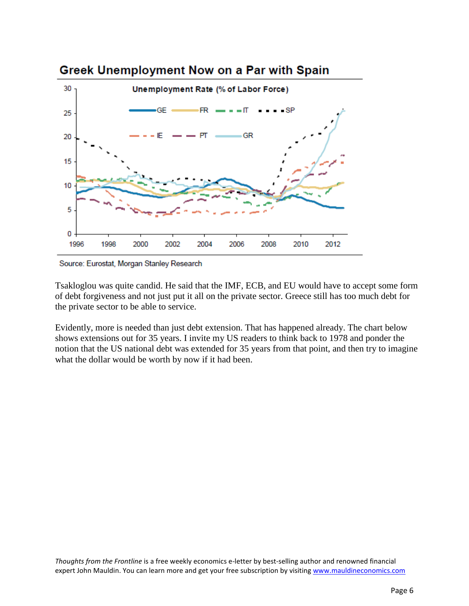

## **Greek Unemployment Now on a Par with Spain**

Source: Eurostat, Morgan Stanley Research

Tsakloglou was quite candid. He said that the IMF, ECB, and EU would have to accept some form of debt forgiveness and not just put it all on the private sector. Greece still has too much debt for the private sector to be able to service.

Evidently, more is needed than just debt extension. That has happened already. The chart below shows extensions out for 35 years. I invite my US readers to think back to 1978 and ponder the notion that the US national debt was extended for 35 years from that point, and then try to imagine what the dollar would be worth by now if it had been.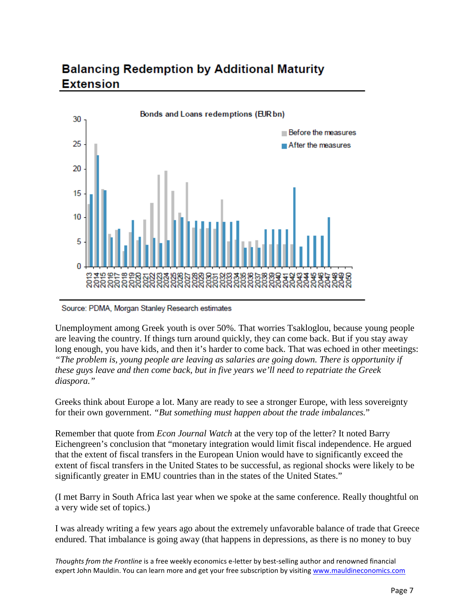# **Balancing Redemption by Additional Maturity Extension**



Source: PDMA, Morgan Stanley Research estimates

Unemployment among Greek youth is over 50%. That worries Tsakloglou, because young people are leaving the country. If things turn around quickly, they can come back. But if you stay away long enough, you have kids, and then it's harder to come back. That was echoed in other meetings: *"The problem is, young people are leaving as salaries are going down. There is opportunity if these guys leave and then come back, but in five years we'll need to repatriate the Greek diaspora."*

Greeks think about Europe a lot. Many are ready to see a stronger Europe, with less sovereignty for their own government. *"But something must happen about the trade imbalances.*"

Remember that quote from *Econ Journal Watch* at the very top of the letter? It noted Barry Eichengreen's conclusion that "monetary integration would limit fiscal independence. He argued that the extent of fiscal transfers in the European Union would have to significantly exceed the extent of fiscal transfers in the United States to be successful, as regional shocks were likely to be significantly greater in EMU countries than in the states of the United States."

(I met Barry in South Africa last year when we spoke at the same conference. Really thoughtful on a very wide set of topics.)

I was already writing a few years ago about the extremely unfavorable balance of trade that Greece endured. That imbalance is going away (that happens in depressions, as there is no money to buy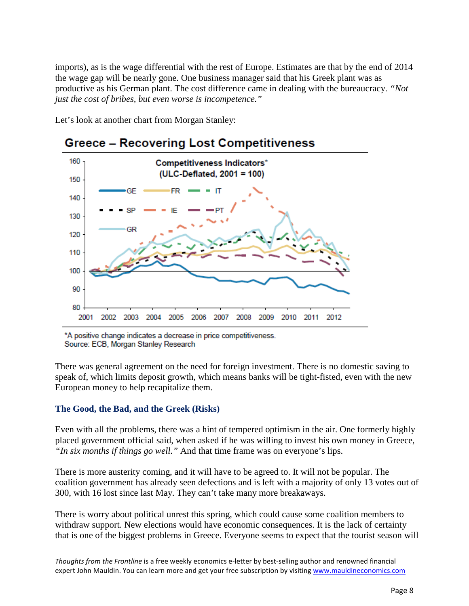imports), as is the wage differential with the rest of Europe. Estimates are that by the end of 2014 the wage gap will be nearly gone. One business manager said that his Greek plant was as productive as his German plant. The cost difference came in dealing with the bureaucracy. *"Not just the cost of bribes, but even worse is incompetence."*

Let's look at another chart from Morgan Stanley:



### **Greece - Recovering Lost Competitiveness**

\*A positive change indicates a decrease in price competitiveness. Source: ECB, Morgan Stanley Research

There was general agreement on the need for foreign investment. There is no domestic saving to speak of, which limits deposit growth, which means banks will be tight-fisted, even with the new European money to help recapitalize them.

### **The Good, the Bad, and the Greek (Risks)**

Even with all the problems, there was a hint of tempered optimism in the air. One formerly highly placed government official said, when asked if he was willing to invest his own money in Greece, *"In six months if things go well."* And that time frame was on everyone's lips.

There is more austerity coming, and it will have to be agreed to. It will not be popular. The coalition government has already seen defections and is left with a majority of only 13 votes out of 300, with 16 lost since last May. They can't take many more breakaways.

There is worry about political unrest this spring, which could cause some coalition members to withdraw support. New elections would have economic consequences. It is the lack of certainty that is one of the biggest problems in Greece. Everyone seems to expect that the tourist season will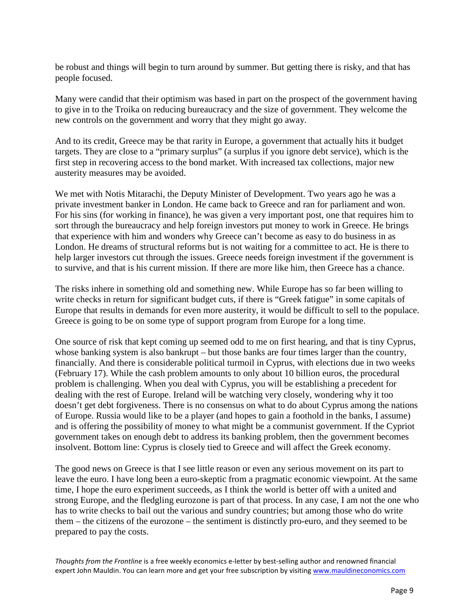be robust and things will begin to turn around by summer. But getting there is risky, and that has people focused.

Many were candid that their optimism was based in part on the prospect of the government having to give in to the Troika on reducing bureaucracy and the size of government. They welcome the new controls on the government and worry that they might go away.

And to its credit, Greece may be that rarity in Europe, a government that actually hits it budget targets. They are close to a "primary surplus" (a surplus if you ignore debt service), which is the first step in recovering access to the bond market. With increased tax collections, major new austerity measures may be avoided.

We met with Notis Mitarachi, the Deputy Minister of Development. Two years ago he was a private investment banker in London. He came back to Greece and ran for parliament and won. For his sins (for working in finance), he was given a very important post, one that requires him to sort through the bureaucracy and help foreign investors put money to work in Greece. He brings that experience with him and wonders why Greece can't become as easy to do business in as London. He dreams of structural reforms but is not waiting for a committee to act. He is there to help larger investors cut through the issues. Greece needs foreign investment if the government is to survive, and that is his current mission. If there are more like him, then Greece has a chance.

The risks inhere in something old and something new. While Europe has so far been willing to write checks in return for significant budget cuts, if there is "Greek fatigue" in some capitals of Europe that results in demands for even more austerity, it would be difficult to sell to the populace. Greece is going to be on some type of support program from Europe for a long time.

One source of risk that kept coming up seemed odd to me on first hearing, and that is tiny Cyprus, whose banking system is also bankrupt – but those banks are four times larger than the country, financially. And there is considerable political turmoil in Cyprus, with elections due in two weeks (February 17). While the cash problem amounts to only about 10 billion euros, the procedural problem is challenging. When you deal with Cyprus, you will be establishing a precedent for dealing with the rest of Europe. Ireland will be watching very closely, wondering why it too doesn't get debt forgiveness. There is no consensus on what to do about Cyprus among the nations of Europe. Russia would like to be a player (and hopes to gain a foothold in the banks, I assume) and is offering the possibility of money to what might be a communist government. If the Cypriot government takes on enough debt to address its banking problem, then the government becomes insolvent. Bottom line: Cyprus is closely tied to Greece and will affect the Greek economy.

The good news on Greece is that I see little reason or even any serious movement on its part to leave the euro. I have long been a euro-skeptic from a pragmatic economic viewpoint. At the same time, I hope the euro experiment succeeds, as I think the world is better off with a united and strong Europe, and the fledgling eurozone is part of that process. In any case, I am not the one who has to write checks to bail out the various and sundry countries; but among those who do write them – the citizens of the eurozone – the sentiment is distinctly pro-euro, and they seemed to be prepared to pay the costs.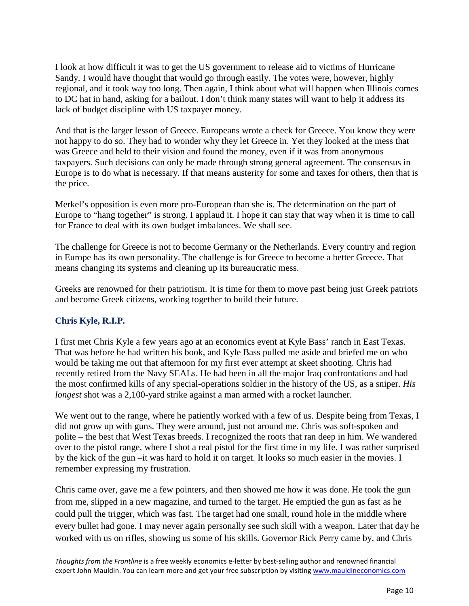I look at how difficult it was to get the US government to release aid to victims of Hurricane Sandy. I would have thought that would go through easily. The votes were, however, highly regional, and it took way too long. Then again, I think about what will happen when Illinois comes to DC hat in hand, asking for a bailout. I don't think many states will want to help it address its lack of budget discipline with US taxpayer money.

And that is the larger lesson of Greece. Europeans wrote a check for Greece. You know they were not happy to do so. They had to wonder why they let Greece in. Yet they looked at the mess that was Greece and held to their vision and found the money, even if it was from anonymous taxpayers. Such decisions can only be made through strong general agreement. The consensus in Europe is to do what is necessary. If that means austerity for some and taxes for others, then that is the price.

Merkel's opposition is even more pro-European than she is. The determination on the part of Europe to "hang together" is strong. I applaud it. I hope it can stay that way when it is time to call for France to deal with its own budget imbalances. We shall see.

The challenge for Greece is not to become Germany or the Netherlands. Every country and region in Europe has its own personality. The challenge is for Greece to become a better Greece. That means changing its systems and cleaning up its bureaucratic mess.

Greeks are renowned for their patriotism. It is time for them to move past being just Greek patriots and become Greek citizens, working together to build their future.

### **Chris Kyle, R.I.P.**

I first met Chris Kyle a few years ago at an economics event at Kyle Bass' ranch in East Texas. That was before he had written his book, and Kyle Bass pulled me aside and briefed me on who would be taking me out that afternoon for my first ever attempt at skeet shooting. Chris had recently retired from the Navy SEALs. He had been in all the major Iraq confrontations and had the most confirmed kills of any special-operations soldier in the history of the US, as a sniper. *His longest* shot was a 2,100-yard strike against a man armed with a rocket launcher.

We went out to the range, where he patiently worked with a few of us. Despite being from Texas, I did not grow up with guns. They were around, just not around me. Chris was soft-spoken and polite – the best that West Texas breeds. I recognized the roots that ran deep in him. We wandered over to the pistol range, where I shot a real pistol for the first time in my life. I was rather surprised by the kick of the gun –it was hard to hold it on target. It looks so much easier in the movies. I remember expressing my frustration.

Chris came over, gave me a few pointers, and then showed me how it was done. He took the gun from me, slipped in a new magazine, and turned to the target. He emptied the gun as fast as he could pull the trigger, which was fast. The target had one small, round hole in the middle where every bullet had gone. I may never again personally see such skill with a weapon. Later that day he worked with us on rifles, showing us some of his skills. Governor Rick Perry came by, and Chris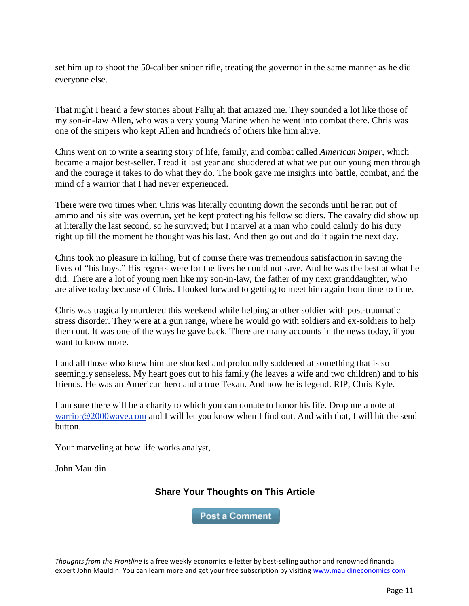set him up to shoot the 50-caliber sniper rifle, treating the governor in the same manner as he did everyone else.

That night I heard a few stories about Fallujah that amazed me. They sounded a lot like those of my son-in-law Allen, who was a very young Marine when he went into combat there. Chris was one of the snipers who kept Allen and hundreds of others like him alive.

Chris went on to write a searing story of life, family, and combat called *American Sniper,* which became a major best-seller. I read it last year and shuddered at what we put our young men through and the courage it takes to do what they do. The book gave me insights into battle, combat, and the mind of a warrior that I had never experienced.

There were two times when Chris was literally counting down the seconds until he ran out of ammo and his site was overrun, yet he kept protecting his fellow soldiers. The cavalry did show up at literally the last second, so he survived; but I marvel at a man who could calmly do his duty right up till the moment he thought was his last. And then go out and do it again the next day.

Chris took no pleasure in killing, but of course there was tremendous satisfaction in saving the lives of "his boys." His regrets were for the lives he could not save. And he was the best at what he did. There are a lot of young men like my son-in-law, the father of my next granddaughter, who are alive today because of Chris. I looked forward to getting to meet him again from time to time.

Chris was tragically murdered this weekend while helping another soldier with post-traumatic stress disorder. They were at a gun range, where he would go with soldiers and ex-soldiers to help them out. It was one of the ways he gave back. There are many accounts in the news today, if you want to know more.

I and all those who knew him are shocked and profoundly saddened at something that is so seemingly senseless. My heart goes out to his family (he leaves a wife and two children) and to his friends. He was an American hero and a true Texan. And now he is legend. RIP, Chris Kyle.

I am sure there will be a charity to which you can donate to honor his life. Drop me a note at [warrior@2000wave.com](mailto:warrior@2000wave.com) and I will let you know when I find out. And with that, I will hit the send button.

Your marveling at how life works analyst,

John Mauldin

### **Share Your Thoughts on This Article**

**Post a Comment**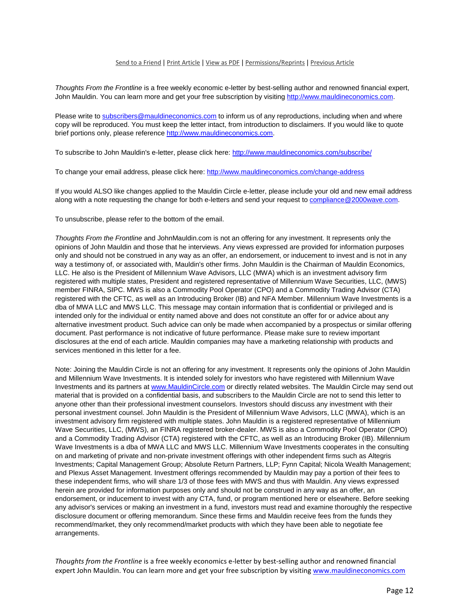#### [Send to a Friend](http://ce.frontlinethoughts.com/CT00017301MTUzNTQ2.html) | [Print Article](http://ce.frontlinethoughts.com/CT00017301MTUzNTQ2.html) | [View as](http://ce.frontlinethoughts.com/CT00017302MTUzNTQ2.html) PDF | [Permissions/Reprints](http://www.frontlinethoughts.com/contact) | [Previous Article](http://ce.frontlinethoughts.com/CT00017305MTUzNTQ2.html)

*Thoughts From the Frontline* is a free weekly economic e-letter by best-selling author and renowned financial expert, John Mauldin. You can learn more and get your free subscription by visitin[g http://www.mauldineconomics.com.](http://www.mauldineconomics.com/)

Please write t[o subscribers@mauldineconomics.com](mailto:subscribers@mauldineconomics.com) to inform us of any reproductions, including when and where copy will be reproduced. You must keep the letter intact, from introduction to disclaimers. If you would like to quote brief portions only, please referenc[e http://www.mauldineconomics.com.](http://www.mauldineconomics.com/)

To subscribe to John Mauldin's e-letter, please click here:<http://www.mauldineconomics.com/subscribe/>

To change your email address, please click here: <http://www.mauldineconomics.com/change-address>

If you would ALSO like changes applied to the Mauldin Circle e-letter, please include your old and new email address along with a note requesting the change for both e-letters and send your request to [compliance@2000wave.com.](mailto:compliance@2000wave.com)

To unsubscribe, please refer to the bottom of the email.

*Thoughts From the Frontline* and JohnMauldin.com is not an offering for any investment. It represents only the opinions of John Mauldin and those that he interviews. Any views expressed are provided for information purposes only and should not be construed in any way as an offer, an endorsement, or inducement to invest and is not in any way a testimony of, or associated with, Mauldin's other firms. John Mauldin is the Chairman of Mauldin Economics, LLC. He also is the President of Millennium Wave Advisors, LLC (MWA) which is an investment advisory firm registered with multiple states, President and registered representative of Millennium Wave Securities, LLC, (MWS) member FINRA, SIPC. MWS is also a Commodity Pool Operator (CPO) and a Commodity Trading Advisor (CTA) registered with the CFTC, as well as an Introducing Broker (IB) and NFA Member. Millennium Wave Investments is a dba of MWA LLC and MWS LLC. This message may contain information that is confidential or privileged and is intended only for the individual or entity named above and does not constitute an offer for or advice about any alternative investment product. Such advice can only be made when accompanied by a prospectus or similar offering document. Past performance is not indicative of future performance. Please make sure to review important disclosures at the end of each article. Mauldin companies may have a marketing relationship with products and services mentioned in this letter for a fee.

Note: Joining the Mauldin Circle is not an offering for any investment. It represents only the opinions of John Mauldin and Millennium Wave Investments. It is intended solely for investors who have registered with Millennium Wave Investments and its partners a[t www.MauldinCircle.com](http://www.mauldincircle.com/) or directly related websites. The Mauldin Circle may send out material that is provided on a confidential basis, and subscribers to the Mauldin Circle are not to send this letter to anyone other than their professional investment counselors. Investors should discuss any investment with their personal investment counsel. John Mauldin is the President of Millennium Wave Advisors, LLC (MWA), which is an investment advisory firm registered with multiple states. John Mauldin is a registered representative of Millennium Wave Securities, LLC, (MWS), an FINRA registered broker-dealer. MWS is also a Commodity Pool Operator (CPO) and a Commodity Trading Advisor (CTA) registered with the CFTC, as well as an Introducing Broker (IB). Millennium Wave Investments is a dba of MWA LLC and MWS LLC. Millennium Wave Investments cooperates in the consulting on and marketing of private and non-private investment offerings with other independent firms such as Altegris Investments; Capital Management Group; Absolute Return Partners, LLP; Fynn Capital; Nicola Wealth Management; and Plexus Asset Management. Investment offerings recommended by Mauldin may pay a portion of their fees to these independent firms, who will share 1/3 of those fees with MWS and thus with Mauldin. Any views expressed herein are provided for information purposes only and should not be construed in any way as an offer, an endorsement, or inducement to invest with any CTA, fund, or program mentioned here or elsewhere. Before seeking any advisor's services or making an investment in a fund, investors must read and examine thoroughly the respective disclosure document or offering memorandum. Since these firms and Mauldin receive fees from the funds they recommend/market, they only recommend/market products with which they have been able to negotiate fee arrangements.

*Thoughts from the Frontline* is a free weekly economics e-letter by best-selling author and renowned financial expert John Mauldin. You can learn more and get your free subscription by visiting [www.mauldineconomics.com](http://www.mauldineconomics.com/subscribe/)